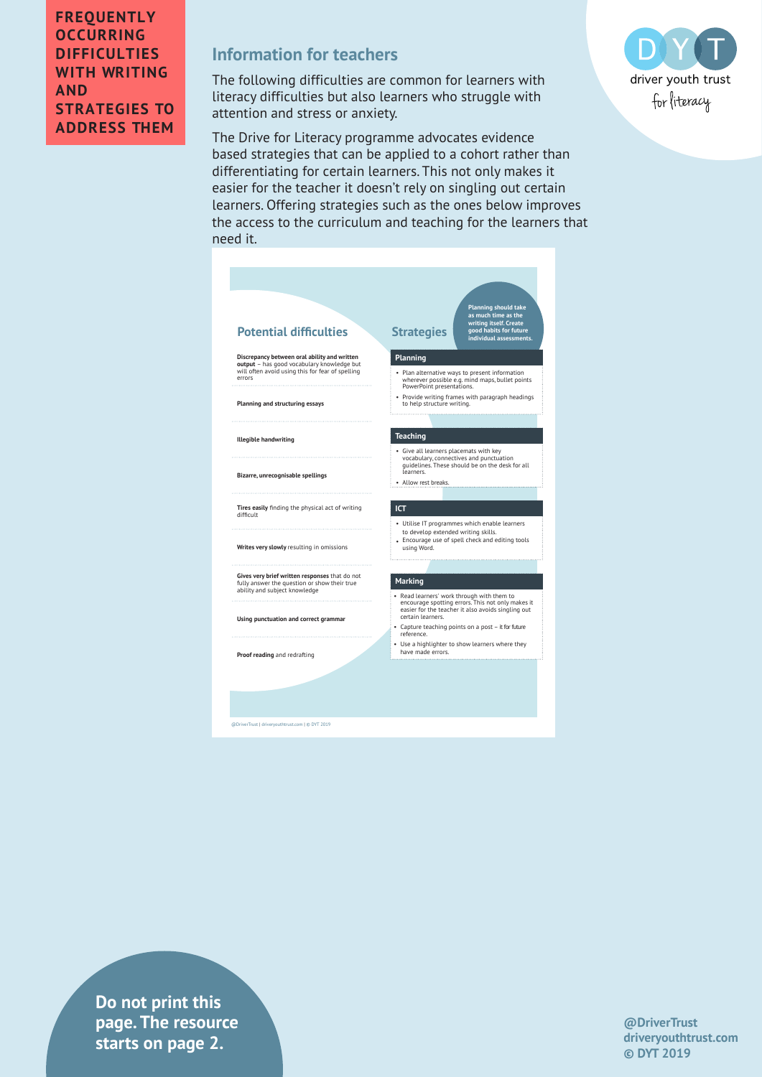### **FREQUENTLY OCCURRING DIFFICULTIES WITH WRITING AND STRATEGIES TO ADDRESS THEM**

# **Information for teachers**

The following difficulties are common for learners with literacy difficulties but also learners who struggle with attention and stress or anxiety.

The Drive for Literacy programme advocates evidence based strategies that can be applied to a cohort rather than differentiating for certain learners. This not only makes it easier for the teacher it doesn't rely on singling out certain learners. Offering strategies such as the ones below improves the access to the curriculum and teaching for the learners that need it.



**drivers in text** is tarts on page 2. **Do not print this page. The resource** 



**@DriverTrust driveryouthtrust.com © DYT 2019**